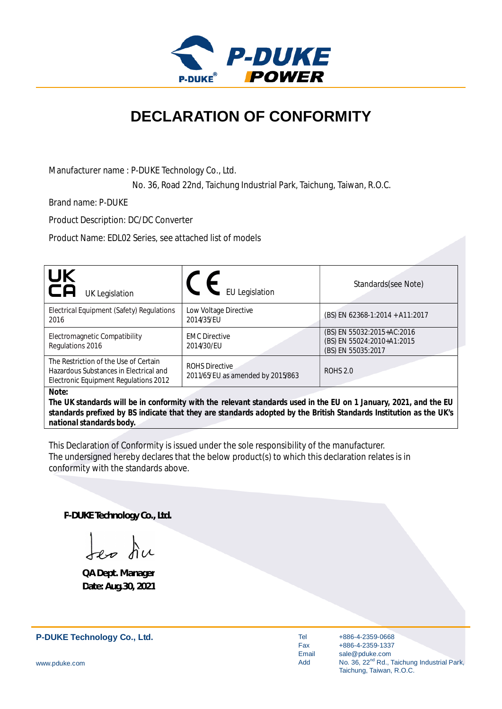

## **DECLARATION OF CONFORMITY**

Manufacturer name : P-DUKE Technology Co., Ltd.

No. 36, Road 22nd, Taichung Industrial Park, Taichung, Taiwan, R.O.C.

Brand name: P-DUKE

Product Description: DC/DC Converter

Product Name: EDL02 Series, see attached list of models

| UK<br>CA<br><b>UK Legislation</b>                                                                                                                                                      | <b>EU Legislation</b>               | Standards(see Note)                                                            |  |
|----------------------------------------------------------------------------------------------------------------------------------------------------------------------------------------|-------------------------------------|--------------------------------------------------------------------------------|--|
| Electrical Equipment (Safety) Regulations<br>2016                                                                                                                                      | Low Voltage Directive<br>2014/35/EU | (BS) EN 62368-1:2014 + A11:2017                                                |  |
| Electromagnetic Compatibility<br>Regulations 2016                                                                                                                                      | <b>EMC Directive</b><br>2014/30/EU  | (BS) EN 55032:2015+AC:2016<br>(BS) EN 55024:2010+A1:2015<br>(BS) EN 55035:2017 |  |
| The Restriction of the Use of Certain<br><b>ROHS Directive</b><br>Hazardous Substances in Electrical and<br>2011/65/EU as amended by 2015/863<br>Electronic Equipment Regulations 2012 |                                     | <b>ROHS 2.0</b>                                                                |  |
| Note:<br>The IIK standards will be in conformity with the relevant standards used in the ELL on 1 January 2021, and the ELL                                                            |                                     |                                                                                |  |

*The UK standards will be in conformity with the relevant standards used in the EU on 1 January, 2021, and the EU standards prefixed by BS indicate that they are standards adopted by the British Standards Institution as the UK's national standards body.*

This Declaration of Conformity is issued under the sole responsibility of the manufacturer. The undersigned hereby declares that the below product(s) to which this declaration relates is in conformity with the standards above.

**P-DUKE Technology Co., Ltd.**

Jep du

**QA Dept. Manager Date: Aug.30, 2021**

**P-DUKE Technology Co., Ltd.**

Tel Fax Email Add

+886-4-2359-0668 +886-4-2359-1337 sale@pduke.com No. 36, 22<sup>nd</sup> Rd., Taichung Industrial Park, Taichung, Taiwan, R.O.C.